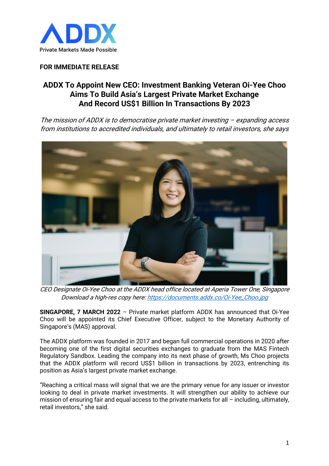

## **FOR IMMEDIATE RELEASE**

## **ADDX To Appoint New CEO: Investment Banking Veteran Oi-Yee Choo Aims To Build Asia's Largest Private Market Exchange And Record US\$1 Billion In Transactions By 2023**

The mission of ADDX is to democratise private market investing – expanding access from institutions to accredited individuals, and ultimately to retail investors, she says



CEO Designate Oi-Yee Choo at the ADDX head office located at Aperia Tower One, Singapore Download a high-res copy here[: https://documents.addx.co/Oi-Yee\\_Choo.jpg](https://documents.addx.co/Oi-Yee_Choo.jpg)

**SINGAPORE, 7 MARCH 2022** – Private market platform ADDX has announced that Oi-Yee Choo will be appointed its Chief Executive Officer, subject to the Monetary Authority of Singapore's (MAS) approval.

The ADDX platform was founded in 2017 and began full commercial operations in 2020 after becoming one of the first digital securities exchanges to graduate from the MAS Fintech Regulatory Sandbox. Leading the company into its next phase of growth, Ms Choo projects that the ADDX platform will record US\$1 billion in transactions by 2023, entrenching its position as Asia's largest private market exchange.

"Reaching a critical mass will signal that we are the primary venue for any issuer or investor looking to deal in private market investments. It will strengthen our ability to achieve our mission of ensuring fair and equal access to the private markets for all – including, ultimately, retail investors," she said.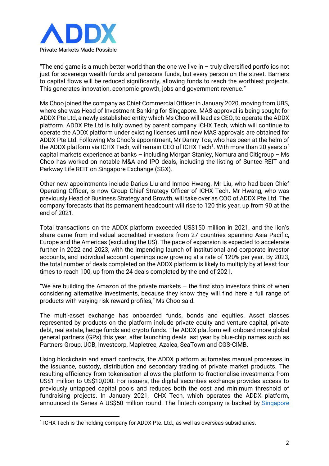

"The end game is a much better world than the one we live in  $-$  truly diversified portfolios not just for sovereign wealth funds and pensions funds, but every person on the street. Barriers to capital flows will be reduced significantly, allowing funds to reach the worthiest projects. This generates innovation, economic growth, jobs and government revenue."

Ms Choo joined the company as Chief Commercial Officer in January 2020, moving from UBS, where she was Head of Investment Banking for Singapore. MAS approval is being sought for ADDX Pte Ltd, a newly established entity which Ms Choo will lead as CEO, to operate the ADDX platform. ADDX Pte Ltd is fully owned by parent company ICHX Tech, which will continue to operate the ADDX platform under existing licenses until new MAS approvals are obtained for ADDX Pte Ltd. Following Ms Choo's appointment, Mr Danny Toe, who has been at the helm of the ADDX platform via ICHX Tech, will remain CEO of ICHX Tech<sup>1</sup>. With more than 20 years of capital markets experience at banks – including Morgan Stanley, Nomura and Citigroup – Ms Choo has worked on notable M&A and IPO deals, including the listing of Suntec REIT and Parkway Life REIT on Singapore Exchange (SGX).

Other new appointments include Darius Liu and Inmoo Hwang. Mr Liu, who had been Chief Operating Officer, is now Group Chief Strategy Officer of ICHX Tech. Mr Hwang, who was previously Head of Business Strategy and Growth, will take over as COO of ADDX Pte Ltd. The company forecasts that its permanent headcount will rise to 120 this year, up from 90 at the end of 2021.

Total transactions on the ADDX platform exceeded US\$150 million in 2021, and the lion's share came from individual accredited investors from 27 countries spanning Asia Pacific, Europe and the Americas (excluding the US). The pace of expansion is expected to accelerate further in 2022 and 2023, with the impending launch of institutional and corporate investor accounts, and individual account openings now growing at a rate of 120% per year. By 2023, the total number of deals completed on the ADDX platform is likely to multiply by at least four times to reach 100, up from the 24 deals completed by the end of 2021.

"We are building the Amazon of the private markets  $-$  the first stop investors think of when considering alternative investments, because they know they will find here a full range of products with varying risk-reward profiles," Ms Choo said.

The multi-asset exchange has onboarded funds, bonds and equities. Asset classes represented by products on the platform include private equity and venture capital, private debt, real estate, hedge funds and crypto funds. The ADDX platform will onboard more global general partners (GPs) this year, after launching deals last year by blue-chip names such as Partners Group, UOB, Investcorp, Mapletree, Azalea, SeaTown and CGS-CIMB.

Using blockchain and smart contracts, the ADDX platform automates manual processes in the issuance, custody, distribution and secondary trading of private market products. The resulting efficiency from tokenisation allows the platform to fractionalise investments from US\$1 million to US\$10,000. For issuers, the digital securities exchange provides access to previously untapped capital pools and reduces both the cost and minimum threshold of fundraising projects. In January 2021, ICHX Tech, which operates the ADDX platform, announced its Series A US\$50 million round. The fintech company is backed by Singapore

<sup>&</sup>lt;sup>1</sup> ICHX Tech is the holding company for ADDX Pte. Ltd., as well as overseas subsidiaries.